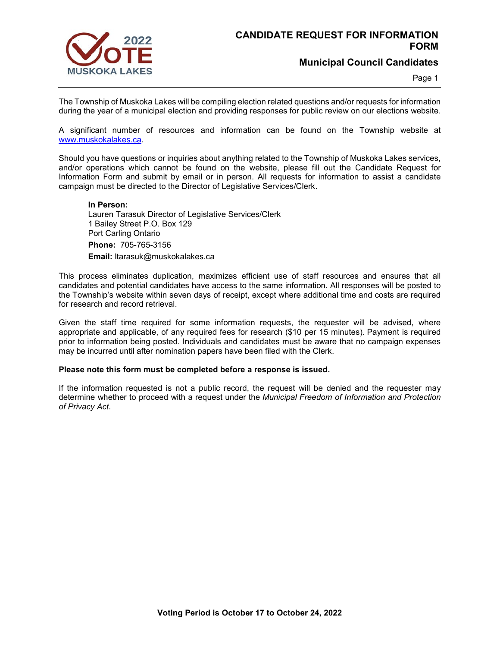

**Municipal Council Candidates**

Page 1

The Township of Muskoka Lakes will be compiling election related questions and/or requests for information during the year of a municipal election and providing responses for public review on our elections website.

A significant number of resources and information can be found on the Township website at [www.muskokalakes.ca.](http://www.muskokalakes.ca/)

Should you have questions or inquiries about anything related to the Township of Muskoka Lakes services, and/or operations which cannot be found on the website, please fill out the Candidate Request for Information Form and submit by email or in person. All requests for information to assist a candidate campaign must be directed to the Director of Legislative Services/Clerk.

## **In Person:**

Lauren Tarasuk Director of Legislative Services/Clerk 1 Bailey Street P.O. Box 129 Port Carling Ontario **Phone:** 705-765-3156 **Email:** ltarasuk@muskokalakes.ca

This process eliminates duplication, maximizes efficient use of staff resources and ensures that all candidates and potential candidates have access to the same information. All responses will be posted to the Township's website within seven days of receipt, except where additional time and costs are required for research and record retrieval.

Given the staff time required for some information requests, the requester will be advised, where appropriate and applicable, of any required fees for research (\$10 per 15 minutes). Payment is required prior to information being posted. Individuals and candidates must be aware that no campaign expenses may be incurred until after nomination papers have been filed with the Clerk.

## **Please note this form must be completed before a response is issued.**

If the information requested is not a public record, the request will be denied and the requester may determine whether to proceed with a request under the *Municipal Freedom of Information and Protection of Privacy Act*.